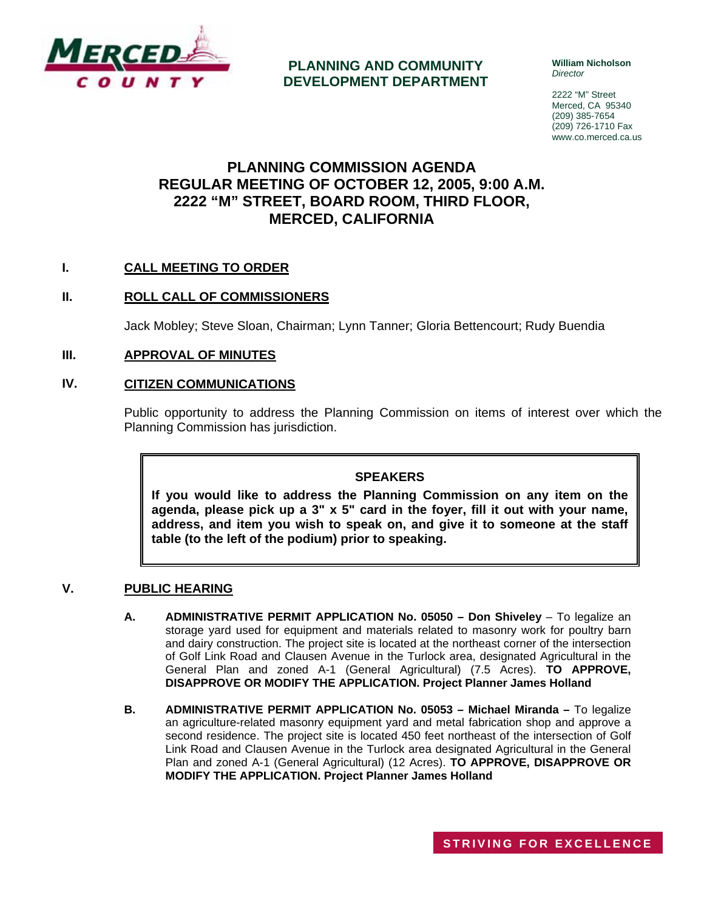

**PLANNING AND COMMUNITY DEVELOPMENT DEPARTMENT** **William Nicholson**  *Director* 

2222 "M" Street Merced, CA 95340 (209) 385-7654 (209) 726-1710 Fax www.co.merced.ca.us

## **PLANNING COMMISSION AGENDA REGULAR MEETING OF OCTOBER 12, 2005, 9:00 A.M. 2222 "M" STREET, BOARD ROOM, THIRD FLOOR, MERCED, CALIFORNIA**

## **I. CALL MEETING TO ORDER**

## **II. ROLL CALL OF COMMISSIONERS**

Jack Mobley; Steve Sloan, Chairman; Lynn Tanner; Gloria Bettencourt; Rudy Buendia

### **III. APPROVAL OF MINUTES**

#### **IV. CITIZEN COMMUNICATIONS**

Public opportunity to address the Planning Commission on items of interest over which the Planning Commission has jurisdiction.

#### **SPEAKERS**

**If you would like to address the Planning Commission on any item on the agenda, please pick up a 3" x 5" card in the foyer, fill it out with your name, address, and item you wish to speak on, and give it to someone at the staff table (to the left of the podium) prior to speaking.**

#### **V. PUBLIC HEARING**

- **A. ADMINISTRATIVE PERMIT APPLICATION No. 05050 Don Shiveley** To legalize an storage yard used for equipment and materials related to masonry work for poultry barn and dairy construction. The project site is located at the northeast corner of the intersection of Golf Link Road and Clausen Avenue in the Turlock area, designated Agricultural in the General Plan and zoned A-1 (General Agricultural) (7.5 Acres). **TO APPROVE, DISAPPROVE OR MODIFY THE APPLICATION. Project Planner James Holland**
- **B. ADMINISTRATIVE PERMIT APPLICATION No. 05053 Michael Miranda –** To legalize an agriculture-related masonry equipment yard and metal fabrication shop and approve a second residence. The project site is located 450 feet northeast of the intersection of Golf Link Road and Clausen Avenue in the Turlock area designated Agricultural in the General Plan and zoned A-1 (General Agricultural) (12 Acres). **TO APPROVE, DISAPPROVE OR MODIFY THE APPLICATION. Project Planner James Holland**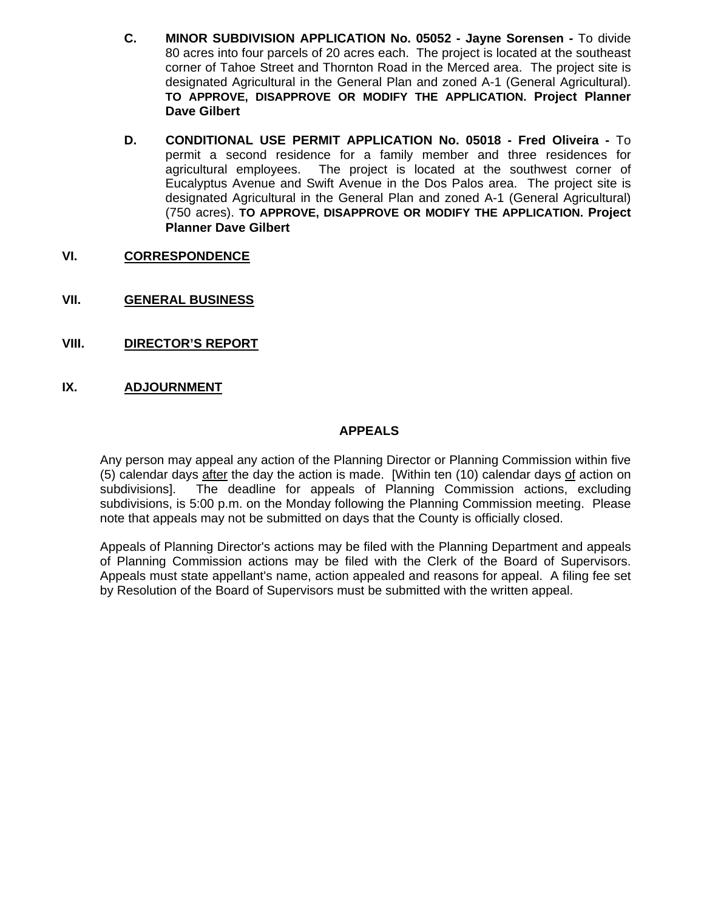- **C. MINOR SUBDIVISION APPLICATION No. 05052 Jayne Sorensen** To divide 80 acres into four parcels of 20 acres each. The project is located at the southeast corner of Tahoe Street and Thornton Road in the Merced area. The project site is designated Agricultural in the General Plan and zoned A-1 (General Agricultural). **TO APPROVE, DISAPPROVE OR MODIFY THE APPLICATION. Project Planner Dave Gilbert**
- **D. CONDITIONAL USE PERMIT APPLICATION No. 05018 Fred Oliveira** To permit a second residence for a family member and three residences for agricultural employees. The project is located at the southwest corner of Eucalyptus Avenue and Swift Avenue in the Dos Palos area. The project site is designated Agricultural in the General Plan and zoned A-1 (General Agricultural) (750 acres). **TO APPROVE, DISAPPROVE OR MODIFY THE APPLICATION. Project Planner Dave Gilbert**
- **VI. CORRESPONDENCE**
- **VII. GENERAL BUSINESS**
- **VIII. DIRECTOR'S REPORT**

## **IX. ADJOURNMENT**

#### **APPEALS**

Any person may appeal any action of the Planning Director or Planning Commission within five (5) calendar days after the day the action is made. [Within ten (10) calendar days of action on subdivisions]. The deadline for appeals of Planning Commission actions, excluding subdivisions, is 5:00 p.m. on the Monday following the Planning Commission meeting. Please note that appeals may not be submitted on days that the County is officially closed.

Appeals of Planning Director's actions may be filed with the Planning Department and appeals of Planning Commission actions may be filed with the Clerk of the Board of Supervisors. Appeals must state appellant's name, action appealed and reasons for appeal. A filing fee set by Resolution of the Board of Supervisors must be submitted with the written appeal.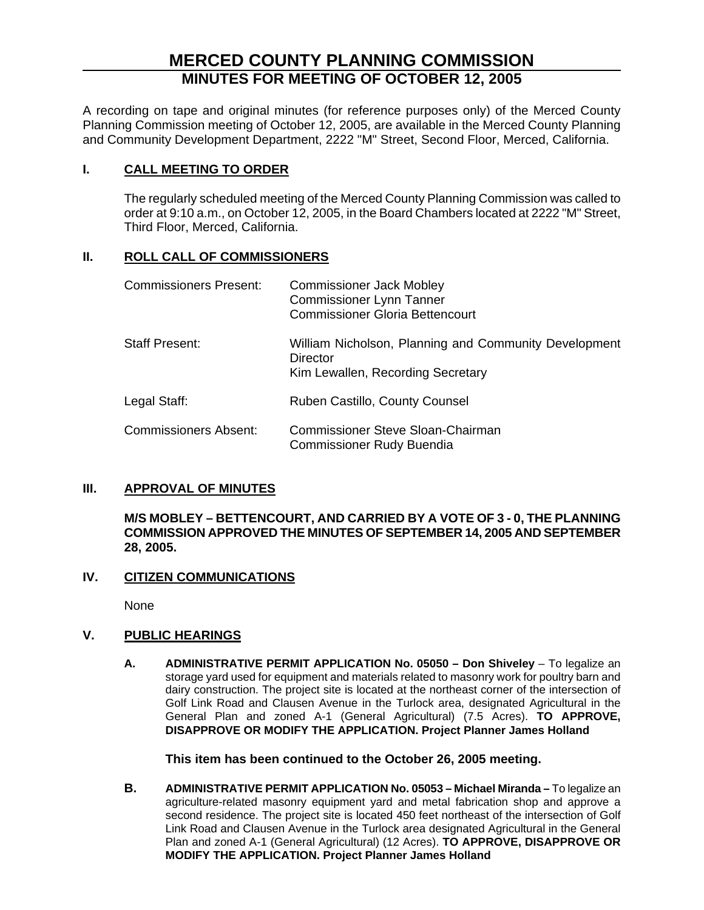# **MERCED COUNTY PLANNING COMMISSION MINUTES FOR MEETING OF OCTOBER 12, 2005**

A recording on tape and original minutes (for reference purposes only) of the Merced County Planning Commission meeting of October 12, 2005, are available in the Merced County Planning and Community Development Department, 2222 "M" Street, Second Floor, Merced, California.

## **I. CALL MEETING TO ORDER**

The regularly scheduled meeting of the Merced County Planning Commission was called to order at 9:10 a.m., on October 12, 2005, in the Board Chambers located at 2222 "M" Street, Third Floor, Merced, California.

## **II. ROLL CALL OF COMMISSIONERS**

| <b>Commissioners Present:</b> | <b>Commissioner Jack Mobley</b><br><b>Commissioner Lynn Tanner</b><br><b>Commissioner Gloria Bettencourt</b> |
|-------------------------------|--------------------------------------------------------------------------------------------------------------|
| <b>Staff Present:</b>         | William Nicholson, Planning and Community Development<br>Director<br>Kim Lewallen, Recording Secretary       |
| Legal Staff:                  | Ruben Castillo, County Counsel                                                                               |
| <b>Commissioners Absent:</b>  | <b>Commissioner Steve Sloan-Chairman</b><br>Commissioner Rudy Buendia                                        |

## **III. APPROVAL OF MINUTES**

**M/S MOBLEY – BETTENCOURT, AND CARRIED BY A VOTE OF 3 - 0, THE PLANNING COMMISSION APPROVED THE MINUTES OF SEPTEMBER 14, 2005 AND SEPTEMBER 28, 2005.**

## **IV. CITIZEN COMMUNICATIONS**

None

## **V. PUBLIC HEARINGS**

**A. ADMINISTRATIVE PERMIT APPLICATION No. 05050 – Don Shiveley** – To legalize an storage yard used for equipment and materials related to masonry work for poultry barn and dairy construction. The project site is located at the northeast corner of the intersection of Golf Link Road and Clausen Avenue in the Turlock area, designated Agricultural in the General Plan and zoned A-1 (General Agricultural) (7.5 Acres). **TO APPROVE, DISAPPROVE OR MODIFY THE APPLICATION. Project Planner James Holland** 

**This item has been continued to the October 26, 2005 meeting.** 

**B. ADMINISTRATIVE PERMIT APPLICATION No. 05053 – Michael Miranda –** To legalize an agriculture-related masonry equipment yard and metal fabrication shop and approve a second residence. The project site is located 450 feet northeast of the intersection of Golf Link Road and Clausen Avenue in the Turlock area designated Agricultural in the General Plan and zoned A-1 (General Agricultural) (12 Acres). **TO APPROVE, DISAPPROVE OR MODIFY THE APPLICATION. Project Planner James Holland**